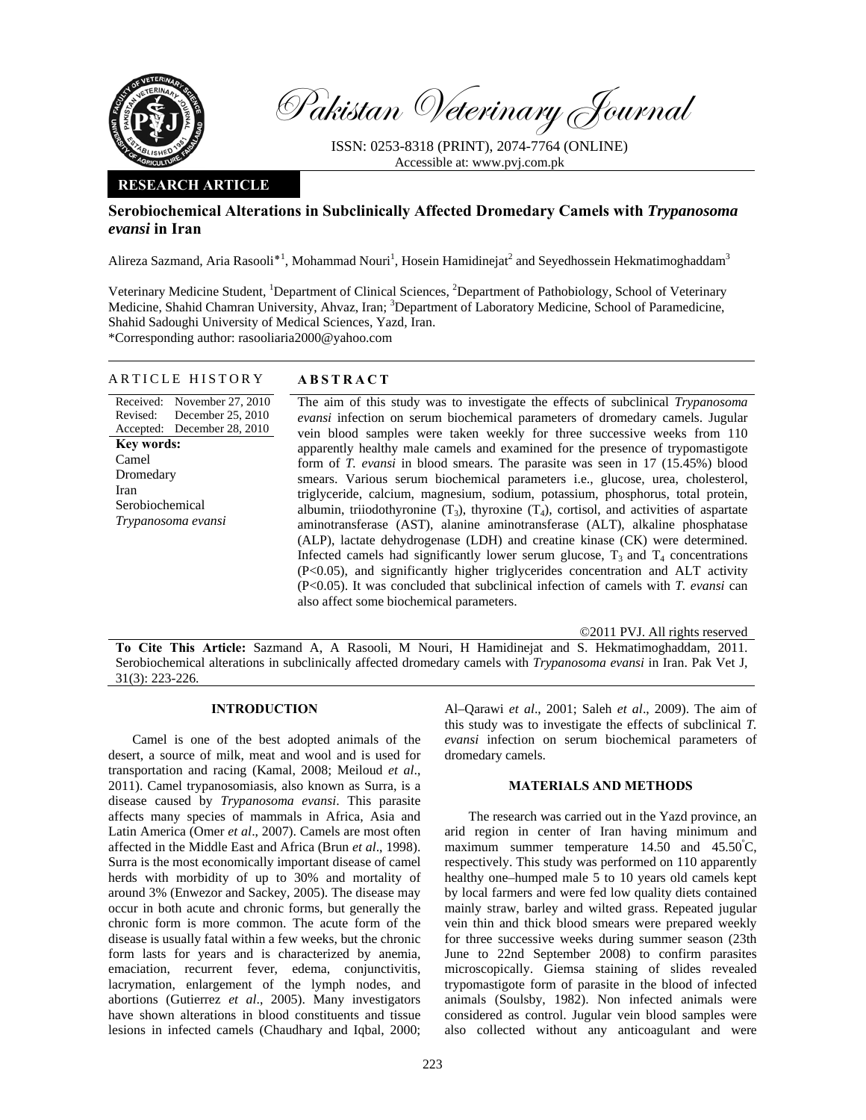

Pakistan Veterinary Journal

ISSN: 0253-8318 (PRINT), 2074-7764 (ONLINE) Accessible at: www.pvj.com.pk

# **RESEARCH ARTICLE**

# **Serobiochemical Alterations in Subclinically Affected Dromedary Camels with** *Trypanosoma evansi* **in Iran**

Alireza Sazmand, Aria Rasooli<sup>\*1</sup>, Mohammad Nouri<sup>1</sup>, Hosein Hamidinejat<sup>2</sup> and Seyedhossein Hekmatimoghaddam<sup>3</sup>

Veterinary Medicine Student, <sup>1</sup>Department of Clinical Sciences, <sup>2</sup>Department of Pathobiology, School of Veterinary Medicine, Shahid Chamran University, Ahvaz, Iran; <sup>3</sup>Department of Laboratory Medicine, School of Paramedicine, Shahid Sadoughi University of Medical Sciences, Yazd, Iran. \*Corresponding author: rasooliaria2000@yahoo.com

### ARTICLE HISTORY **ABSTRACT**

Received: November 27, 2010 Revised: Accepted: December 25, 2010 December 28, 2010 **Key words:**  Camel Dromedary Iran Serobiochemical *Trypanosoma evansi*

The aim of this study was to investigate the effects of subclinical *Trypanosoma evansi* infection on serum biochemical parameters of dromedary camels. Jugular vein blood samples were taken weekly for three successive weeks from 110 apparently healthy male camels and examined for the presence of trypomastigote form of *T. evansi* in blood smears. The parasite was seen in 17 (15.45%) blood smears. Various serum biochemical parameters i.e., glucose, urea, cholesterol, triglyceride, calcium, magnesium, sodium, potassium, phosphorus, total protein, albumin, triiodothyronine  $(T_3)$ , thyroxine  $(T_4)$ , cortisol, and activities of aspartate aminotransferase (AST), alanine aminotransferase (ALT), alkaline phosphatase (ALP), lactate dehydrogenase (LDH) and creatine kinase (CK) were determined. Infected camels had significantly lower serum glucose,  $T_3$  and  $T_4$  concentrations (P<0.05), and significantly higher triglycerides concentration and ALT activity (P<0.05). It was concluded that subclinical infection of camels with *T. evansi* can also affect some biochemical parameters.

©2011 PVJ. All rights reserved

**To Cite This Article:** Sazmand A, A Rasooli, M Nouri, H Hamidinejat and S. Hekmatimoghaddam, 2011. Serobiochemical alterations in subclinically affected dromedary camels with *Trypanosoma evansi* in Iran. Pak Vet J, 31(3): 223-226.

#### **INTRODUCTION**

Camel is one of the best adopted animals of the desert, a source of milk, meat and wool and is used for transportation and racing (Kamal, 2008; Meiloud *et al*., 2011). Camel trypanosomiasis, also known as Surra, is a disease caused by *Trypanosoma evansi*. This parasite affects many species of mammals in Africa, Asia and Latin America (Omer *et al*., 2007). Camels are most often affected in the Middle East and Africa (Brun *et al*., 1998). Surra is the most economically important disease of camel herds with morbidity of up to 30% and mortality of around 3% (Enwezor and Sackey, 2005). The disease may occur in both acute and chronic forms, but generally the chronic form is more common. The acute form of the disease is usually fatal within a few weeks, but the chronic form lasts for years and is characterized by anemia, emaciation, recurrent fever, edema, conjunctivitis, lacrymation, enlargement of the lymph nodes, and abortions (Gutierrez *et al*., 2005). Many investigators have shown alterations in blood constituents and tissue lesions in infected camels (Chaudhary and Iqbal, 2000;

Al–Qarawi *et al*., 2001; Saleh *et al*., 2009). The aim of this study was to investigate the effects of subclinical *T. evansi* infection on serum biochemical parameters of dromedary camels.

### **MATERIALS AND METHODS**

The research was carried out in the Yazd province, an arid region in center of Iran having minimum and maximum summer temperature 14.50 and 45.50°C, respectively. This study was performed on 110 apparently healthy one–humped male 5 to 10 years old camels kept by local farmers and were fed low quality diets contained mainly straw, barley and wilted grass. Repeated jugular vein thin and thick blood smears were prepared weekly for three successive weeks during summer season (23th June to 22nd September 2008) to confirm parasites microscopically. Giemsa staining of slides revealed trypomastigote form of parasite in the blood of infected animals (Soulsby, 1982). Non infected animals were considered as control. Jugular vein blood samples were also collected without any anticoagulant and were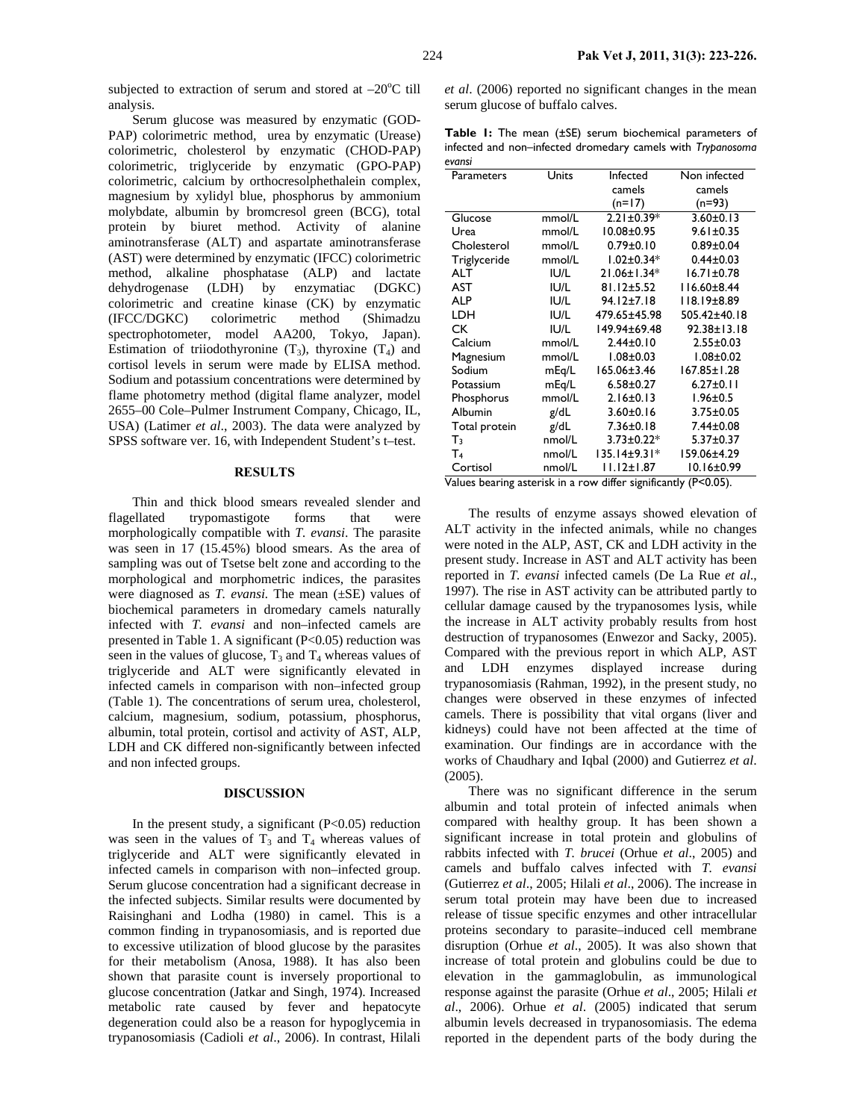Serum glucose was measured by enzymatic (GOD-PAP) colorimetric method, urea by enzymatic (Urease) colorimetric, cholesterol by enzymatic (CHOD-PAP) colorimetric, triglyceride by enzymatic (GPO-PAP) colorimetric, calcium by orthocresolphethalein complex, magnesium by xylidyl blue, phosphorus by ammonium molybdate, albumin by bromcresol green (BCG), total protein by biuret method. Activity of alanine aminotransferase (ALT) and aspartate aminotransferase (AST) were determined by enzymatic (IFCC) colorimetric method, alkaline phosphatase (ALP) and lactate dehydrogenase (LDH) by enzymatiac (DGKC) colorimetric and creatine kinase (CK) by enzymatic (IFCC/DGKC) colorimetric method (Shimadzu spectrophotometer, model AA200, Tokyo, Japan). Estimation of triiodothyronine  $(T_3)$ , thyroxine  $(T_4)$  and cortisol levels in serum were made by ELISA method. Sodium and potassium concentrations were determined by flame photometry method (digital flame analyzer, model 2655–00 Cole–Pulmer Instrument Company, Chicago, IL, USA) (Latimer *et al*., 2003). The data were analyzed by SPSS software ver. 16, with Independent Student's t–test.

#### **RESULTS**

Thin and thick blood smears revealed slender and flagellated trypomastigote forms that were morphologically compatible with *T. evansi*. The parasite was seen in 17 (15.45%) blood smears. As the area of sampling was out of Tsetse belt zone and according to the morphological and morphometric indices, the parasites were diagnosed as *T. evansi.* The mean (±SE) values of biochemical parameters in dromedary camels naturally infected with *T. evansi* and non–infected camels are presented in Table 1. A significant (P<0.05) reduction was seen in the values of glucose,  $T_3$  and  $T_4$  whereas values of triglyceride and ALT were significantly elevated in infected camels in comparison with non–infected group (Table 1). The concentrations of serum urea, cholesterol, calcium, magnesium, sodium, potassium, phosphorus, albumin, total protein, cortisol and activity of AST, ALP, LDH and CK differed non-significantly between infected and non infected groups.

# **DISCUSSION**

In the present study, a significant  $(P<0.05)$  reduction was seen in the values of  $T_3$  and  $T_4$  whereas values of triglyceride and ALT were significantly elevated in infected camels in comparison with non–infected group. Serum glucose concentration had a significant decrease in the infected subjects. Similar results were documented by Raisinghani and Lodha (1980) in camel. This is a common finding in trypanosomiasis, and is reported due to excessive utilization of blood glucose by the parasites for their metabolism (Anosa, 1988). It has also been shown that parasite count is inversely proportional to glucose concentration (Jatkar and Singh, 1974). Increased metabolic rate caused by fever and hepatocyte degeneration could also be a reason for hypoglycemia in trypanosomiasis (Cadioli *et al*., 2006). In contrast, Hilali

*et al*. (2006) reported no significant changes in the mean serum glucose of buffalo calves.

**Table 1:** The mean (±SE) serum biochemical parameters of infected and non–infected dromedary camels with *Trypanosoma evansi*

| Parameters                   | Units              | Infected                                                        | Non infected                                             |
|------------------------------|--------------------|-----------------------------------------------------------------|----------------------------------------------------------|
|                              |                    | camels                                                          | camels                                                   |
|                              |                    | $(n=17)$                                                        | $(n=93)$                                                 |
| Glucose                      | mmol/L             | $2.21 \pm 0.39*$                                                | $3.60 \pm 0.13$                                          |
| Urea                         | mmol/L             | $10.08 + 0.95$                                                  | $9.61 \pm 0.35$                                          |
| Cholesterol                  | mmol/L             | $0.79 \pm 0.10$                                                 | $0.89 \pm 0.04$                                          |
| Triglyceride                 | mmol/L             | $1.02 \pm 0.34*$                                                | $0.44 \pm 0.03$                                          |
| ALT                          | IU/L               | 21.06±1.34*                                                     | $16.71 \pm 0.78$                                         |
| AST                          | IU/L               | $81.12 \pm 5.52$                                                | $116.60 \pm 8.44$                                        |
| <b>ALP</b>                   | IUI/L              | $94.12 \pm 7.18$                                                | 118.19±8.89                                              |
| LDH                          | <b>IU/L</b>        | 479.65±45.98                                                    | 505.42±40.18                                             |
| СK                           | IU/L               | 149.94±69.48                                                    | $92.38 \pm 13.18$                                        |
| Calcium                      | mmol/L             | $2.44 \pm 0.10$                                                 | $2.55 \pm 0.03$                                          |
| Magnesium                    | mmol/L             | $1.08 \pm 0.03$                                                 | $1.08 + 0.02$                                            |
| Sodium                       | mEq/L              | 165.06±3.46                                                     | 167.85±1.28                                              |
| Potassium                    | mEg/L              | $6.58 \pm 0.27$                                                 | $6.27 \pm 0.11$                                          |
| Phosphorus                   | mmol/L             | $2.16 \pm 0.13$                                                 | $1.96 \pm 0.5$                                           |
| Albumin                      | g/dL               | $3.60 \pm 0.16$                                                 | $3.75 \pm 0.05$                                          |
| Total protein                | g/dL               | $7.36 \pm 0.18$                                                 | 7.44±0.08                                                |
| $T_3$                        | nmol/L             | $3.73 \pm 0.22$ *                                               | $5.37 \pm 0.37$                                          |
| T <sub>4</sub>               | nmol/L             | $135.14 \pm 9.31*$                                              | I59.06±4.29                                              |
| Cortisol<br>1.1.1<br>.<br>л. | nmol/L<br>t - L. t | $11.12 \pm 1.87$<br>.<br>$\mathbf{r}$ . The set of $\mathbf{r}$ | $10.16 \pm 0.99$<br>$\mathsf{L}$ . (D $\mathsf{L}$ O OF) |

Values bearing asterisk in a row differ significantly (P<0.05).

The results of enzyme assays showed elevation of ALT activity in the infected animals, while no changes were noted in the ALP, AST, CK and LDH activity in the present study. Increase in AST and ALT activity has been reported in *T. evansi* infected camels (De La Rue *et al*., 1997). The rise in AST activity can be attributed partly to cellular damage caused by the trypanosomes lysis, while the increase in ALT activity probably results from host destruction of trypanosomes (Enwezor and Sacky, 2005). Compared with the previous report in which ALP, AST and LDH enzymes displayed increase during trypanosomiasis (Rahman, 1992), in the present study, no changes were observed in these enzymes of infected camels. There is possibility that vital organs (liver and kidneys) could have not been affected at the time of examination. Our findings are in accordance with the works of Chaudhary and Iqbal (2000) and Gutierrez *et al*. (2005).

There was no significant difference in the serum albumin and total protein of infected animals when compared with healthy group. It has been shown a significant increase in total protein and globulins of rabbits infected with *T. brucei* (Orhue *et al*., 2005) and camels and buffalo calves infected with *T. evansi* (Gutierrez *et al*., 2005; Hilali *et al*., 2006). The increase in serum total protein may have been due to increased release of tissue specific enzymes and other intracellular proteins secondary to parasite–induced cell membrane disruption (Orhue *et al*., 2005). It was also shown that increase of total protein and globulins could be due to elevation in the gammaglobulin, as immunological response against the parasite (Orhue *et al*., 2005; Hilali *et al*., 2006). Orhue *et al*. (2005) indicated that serum albumin levels decreased in trypanosomiasis. The edema reported in the dependent parts of the body during the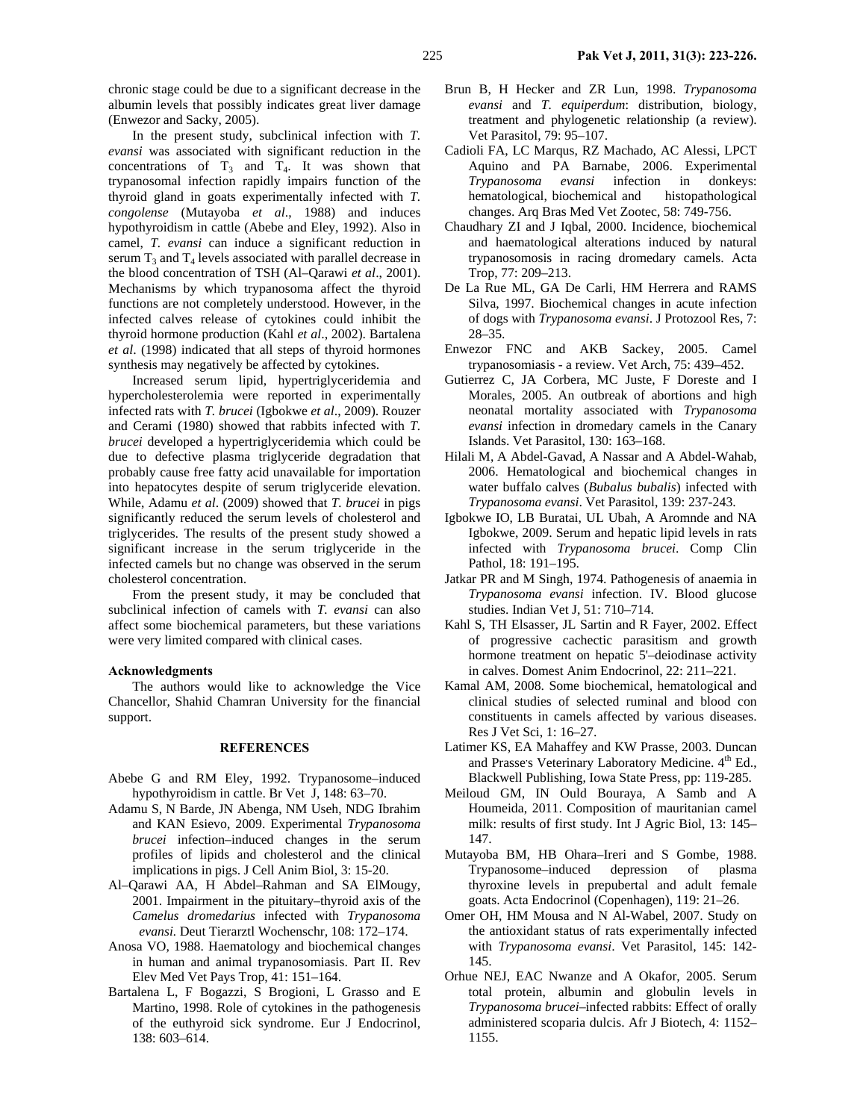chronic stage could be due to a significant decrease in the albumin levels that possibly indicates great liver damage (Enwezor and Sacky, 2005).

In the present study, subclinical infection with *T. evansi* was associated with significant reduction in the concentrations of  $T_3$  and  $T_4$ . It was shown that trypanosomal infection rapidly impairs function of the thyroid gland in goats experimentally infected with *T. congolense* (Mutayoba *et al*., 1988) and induces hypothyroidism in cattle (Abebe and Eley, 1992). Also in camel, *T. evansi* can induce a significant reduction in serum  $T_3$  and  $T_4$  levels associated with parallel decrease in the blood concentration of TSH (Al–Qarawi *et al*., 2001). Mechanisms by which trypanosoma affect the thyroid functions are not completely understood. However, in the infected calves release of cytokines could inhibit the thyroid hormone production (Kahl *et al*., 2002). Bartalena *et al*. (1998) indicated that all steps of thyroid hormones synthesis may negatively be affected by cytokines.

Increased serum lipid, hypertriglyceridemia and hypercholesterolemia were reported in experimentally infected rats with *T. brucei* (Igbokwe *et al*., 2009). Rouzer and Cerami (1980) showed that rabbits infected with *T. brucei* developed a hypertriglyceridemia which could be due to defective plasma triglyceride degradation that probably cause free fatty acid unavailable for importation into hepatocytes despite of serum triglyceride elevation. While, Adamu *et al*. (2009) showed that *T. brucei* in pigs significantly reduced the serum levels of cholesterol and triglycerides. The results of the present study showed a significant increase in the serum triglyceride in the infected camels but no change was observed in the serum cholesterol concentration.

From the present study, it may be concluded that subclinical infection of camels with *T. evansi* can also affect some biochemical parameters, but these variations were very limited compared with clinical cases.

#### **Acknowledgments**

The authors would like to acknowledge the Vice Chancellor, Shahid Chamran University for the financial support.

### **REFERENCES**

- Abebe G and RM Eley, 1992. Trypanosome–induced hypothyroidism in cattle. Br Vet J, 148: 63–70.
- Adamu S, N Barde, JN Abenga, NM Useh, NDG Ibrahim and KAN Esievo, 2009. Experimental *Trypanosoma brucei* infection–induced changes in the serum profiles of lipids and cholesterol and the clinical implications in pigs. J Cell Anim Biol, 3: 15-20.
- Al–Qarawi AA, H Abdel–Rahman and SA ElMougy, 2001. Impairment in the pituitary–thyroid axis of the *Camelus dromedarius* infected with *Trypanosoma evansi.* Deut Tierarztl Wochenschr*,* 108: 172–174.
- Anosa VO, 1988. Haematology and biochemical changes in human and animal trypanosomiasis. Part II. Rev Elev Med Vet Pays Trop, 41: 151–164.
- Bartalena L, F Bogazzi, S Brogioni, L Grasso and E Martino, 1998. Role of cytokines in the pathogenesis of the euthyroid sick syndrome. Eur J Endocrinol, 138: 603–614.
- Brun B, H Hecker and ZR Lun, 1998. *Trypanosoma evansi* and *T. equiperdum*: distribution, biology, treatment and phylogenetic relationship (a review). Vet Parasitol, 79: 95–107.
- Cadioli FA, LC Marqus, RZ Machado, AC Alessi, LPCT Aquino and PA Barnabe, 2006. Experimental *Trypanosoma evansi* infection in donkeys: hematological, biochemical and histopathological changes. Arq Bras Med Vet Zootec, 58: 749-756.
- Chaudhary ZI and J Iqbal, 2000. Incidence, biochemical and haematological alterations induced by natural trypanosomosis in racing dromedary camels. Acta Trop, 77: 209–213.
- De La Rue ML, GA De Carli, HM Herrera and RAMS Silva, 1997. Biochemical changes in acute infection of dogs with *Trypanosoma evansi*. J Protozool Res, 7: 28–35.
- Enwezor FNC and AKB Sackey, 2005. Camel trypanosomiasis - a review. Vet Arch, 75: 439–452.
- Gutierrez C, JA Corbera, MC Juste, F Doreste and I Morales, 2005. An outbreak of abortions and high neonatal mortality associated with *Trypanosoma evansi* infection in dromedary camels in the Canary Islands. Vet Parasitol, 130: 163–168.
- Hilali M, A Abdel-Gavad, A Nassar and A Abdel-Wahab, 2006. Hematological and biochemical changes in water buffalo calves (*Bubalus bubalis*) infected with *Trypanosoma evansi*. Vet Parasitol, 139: 237-243.
- Igbokwe IO, LB Buratai, UL Ubah, A Aromnde and NA Igbokwe, 2009. Serum and hepatic lipid levels in rats infected with *Trypanosoma brucei*. Comp Clin Pathol, 18: 191–195.
- Jatkar PR and M Singh, 1974. Pathogenesis of anaemia in *Trypanosoma evansi* infection. IV. Blood glucose studies. Indian Vet J, 51: 710–714.
- Kahl S, TH Elsasser, JL Sartin and R Fayer, 2002. Effect of progressive cachectic parasitism and growth hormone treatment on hepatic 5'–deiodinase activity in calves. Domest Anim Endocrinol, 22: 211–221.
- Kamal AM, 2008. Some biochemical, hematological and clinical studies of selected ruminal and blood con constituents in camels affected by various diseases. Res J Vet Sci, 1: 16–27.
- Latimer KS, EA Mahaffey and KW Prasse, 2003. Duncan and Prasse's Veterinary Laboratory Medicine. 4<sup>th</sup> Ed., Blackwell Publishing, Iowa State Press, pp: 119-285.
- Meiloud GM, IN Ould Bouraya, A Samb and A Houmeida, 2011. Composition of mauritanian camel milk: results of first study. Int J Agric Biol, 13: 145– 147.
- Mutayoba BM, HB Ohara–Ireri and S Gombe, 1988. Trypanosome–induced depression of plasma thyroxine levels in prepubertal and adult female goats. Acta Endocrinol (Copenhagen), 119: 21–26.
- Omer OH, HM Mousa and N Al-Wabel, 2007. Study on the antioxidant status of rats experimentally infected with *Trypanosoma evansi*. Vet Parasitol, 145: 142- 145.
- Orhue NEJ, EAC Nwanze and A Okafor, 2005. Serum total protein, albumin and globulin levels in *Trypanosoma brucei*–infected rabbits: Effect of orally administered scoparia dulcis. Afr J Biotech, 4: 1152– 1155.